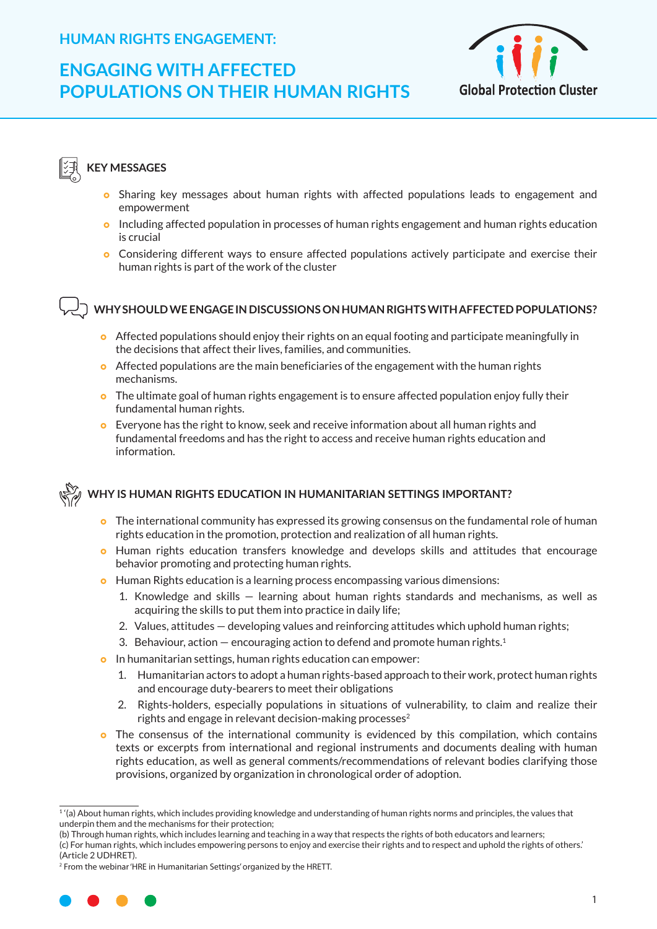# **ENGAGING WITH AFFECTED POPULATIONS ON THEIR HUMAN RIGHTS**



### **KEY MESSAGES**

- **•** Sharing key messages about human rights with affected populations leads to engagement and empowerment
- **o** Including affected population in processes of human rights engagement and human rights education is crucial
- **•** Considering different ways to ensure affected populations actively participate and exercise their human rights is part of the work of the cluster

#### **WHY SHOULD WE ENGAGE IN DISCUSSIONS ON HUMAN RIGHTS WITH AFFECTED POPULATIONS?**

- o Affected populations should enjoy their rights on an equal footing and participate meaningfully in the decisions that affect their lives, families, and communities.
- $\bullet$  Affected populations are the main beneficiaries of the engagement with the human rights mechanisms.
- $\bullet$  The ultimate goal of human rights engagement is to ensure affected population enjoy fully their fundamental human rights.
- **o** Everyone has the right to know, seek and receive information about all human rights and fundamental freedoms and has the right to access and receive human rights education and information.



#### **WHY IS HUMAN RIGHTS EDUCATION IN HUMANITARIAN SETTINGS IMPORTANT?**

- **•** The international community has expressed its growing consensus on the fundamental role of human rights education in the promotion, protection and realization of all human rights.
- **•** Human rights education transfers knowledge and develops skills and attitudes that encourage behavior promoting and protecting human rights.
- **•** Human Rights education is a learning process encompassing various dimensions:
	- 1. Knowledge and skills learning about human rights standards and mechanisms, as well as acquiring the skills to put them into practice in daily life;
	- 2. Values, attitudes developing values and reinforcing attitudes which uphold human rights;
	- 3. Behaviour, action  $-$  encouraging action to defend and promote human rights.<sup>1</sup>
- **o** In humanitarian settings, human rights education can empower:
	- 1. Humanitarian actors to adopt a human rights-based approach to their work, protect human rights and encourage duty-bearers to meet their obligations
	- 2. Rights-holders, especially populations in situations of vulnerability, to claim and realize their rights and engage in relevant decision-making processes $2$
- **•** The consensus of the international community is evidenced by this compilation, which contains texts or excerpts from international and regional instruments and documents dealing with human rights education, as well as general comments/recommendations of relevant bodies clarifying those provisions, organized by organization in chronological order of adoption.

<sup>2</sup> From the webinar 'HRE in Humanitarian Settings' organized by the HRETT.



 $1'(a)$  About human rights, which includes providing knowledge and understanding of human rights norms and principles, the values that underpin them and the mechanisms for their protection;

<sup>(</sup>b) Through human rights, which includes learning and teaching in a way that respects the rights of both educators and learners;

<sup>(</sup>c) For human rights, which includes empowering persons to enjoy and exercise their rights and to respect and uphold the rights of others.' (Article 2 UDHRET).